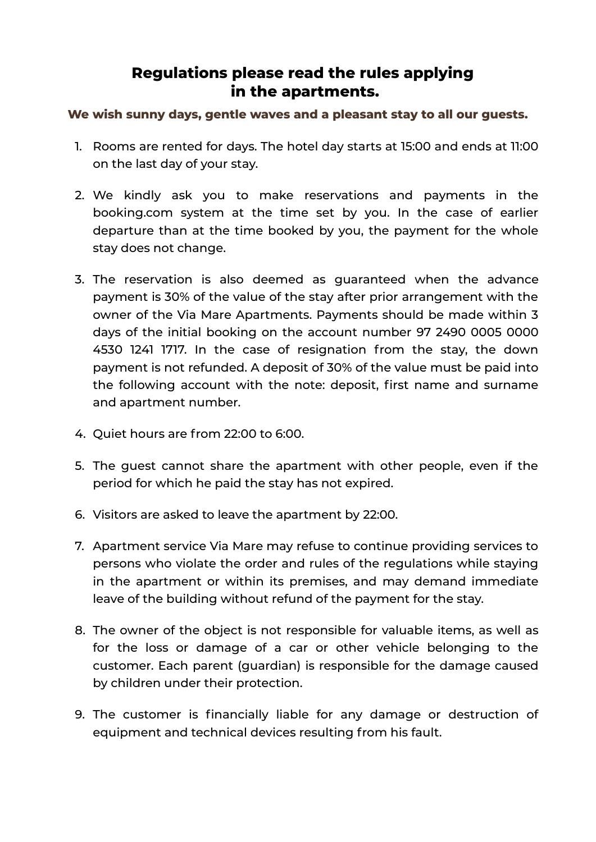## **Regulations please read the rules applying in the apartments.**

## **We wish sunny days, gentle waves and a pleasant stay to all our guests.**

- 1. Rooms are rented for days. The hotel day starts at 15:00 and ends at 11:00 on the last day of your stay.
- 2. We kindly ask you to make reservations and payments in the booking.com system at the time set by you. In the case of earlier departure than at the time booked by you, the payment for the whole stay does not change.
- 3. The reservation is also deemed as guaranteed when the advance payment is 30% of the value of the stay after prior arrangement with the owner of the Via Mare Apartments. Payments should be made within 3 days of the initial booking on the account number 97 2490 0005 0000 4530 1241 1717. In the case of resignation from the stay, the down payment is not refunded. A deposit of 30% of the value must be paid into the following account with the note: deposit, first name and surname and apartment number.
- 4. Quiet hours are from 22:00 to 6:00.
- 5. The guest cannot share the apartment with other people, even if the period for which he paid the stay has not expired.
- 6. Visitors are asked to leave the apartment by 22:00.
- 7. Apartment service Via Mare may refuse to continue providing services to persons who violate the order and rules of the regulations while staying in the apartment or within its premises, and may demand immediate leave of the building without refund of the payment for the stay.
- 8. The owner of the object is not responsible for valuable items, as well as for the loss or damage of a car or other vehicle belonging to the customer. Each parent (guardian) is responsible for the damage caused by children under their protection.
- 9. The customer is fnancially liable for any damage or destruction of equipment and technical devices resulting from his fault.